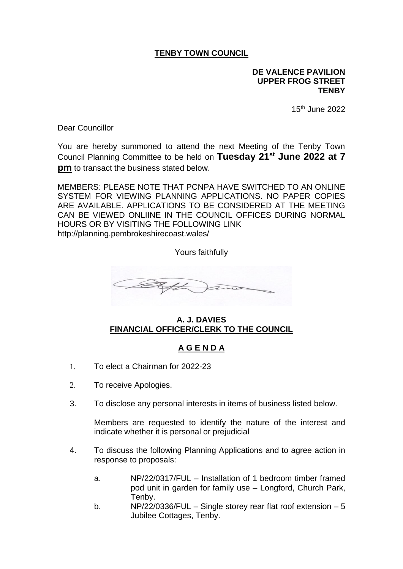## **TENBY TOWN COUNCIL**

## **DE VALENCE PAVILION UPPER FROG STREET TENBY**

15th June 2022

Dear Councillor

You are hereby summoned to attend the next Meeting of the Tenby Town Council Planning Committee to be held on **Tuesday 21st June 2022 at 7 pm** to transact the business stated below.

MEMBERS: PLEASE NOTE THAT PCNPA HAVE SWITCHED TO AN ONLINE SYSTEM FOR VIEWING PLANNING APPLICATIONS. NO PAPER COPIES ARE AVAILABLE. APPLICATIONS TO BE CONSIDERED AT THE MEETING CAN BE VIEWED ONLIINE IN THE COUNCIL OFFICES DURING NORMAL HOURS OR BY VISITING THE FOLLOWING LINK http://planning.pembrokeshirecoast.wales/

Yours faithfully



## **A. J. DAVIES FINANCIAL OFFICER/CLERK TO THE COUNCIL**

## **A G E N D A**

- 1. To elect a Chairman for 2022-23
- 2. To receive Apologies.
- 3. To disclose any personal interests in items of business listed below.

Members are requested to identify the nature of the interest and indicate whether it is personal or prejudicial

- 4. To discuss the following Planning Applications and to agree action in response to proposals:
	- a. NP/22/0317/FUL Installation of 1 bedroom timber framed pod unit in garden for family use – Longford, Church Park, Tenby.
	- b. NP/22/0336/FUL Single storey rear flat roof extension 5 Jubilee Cottages, Tenby.